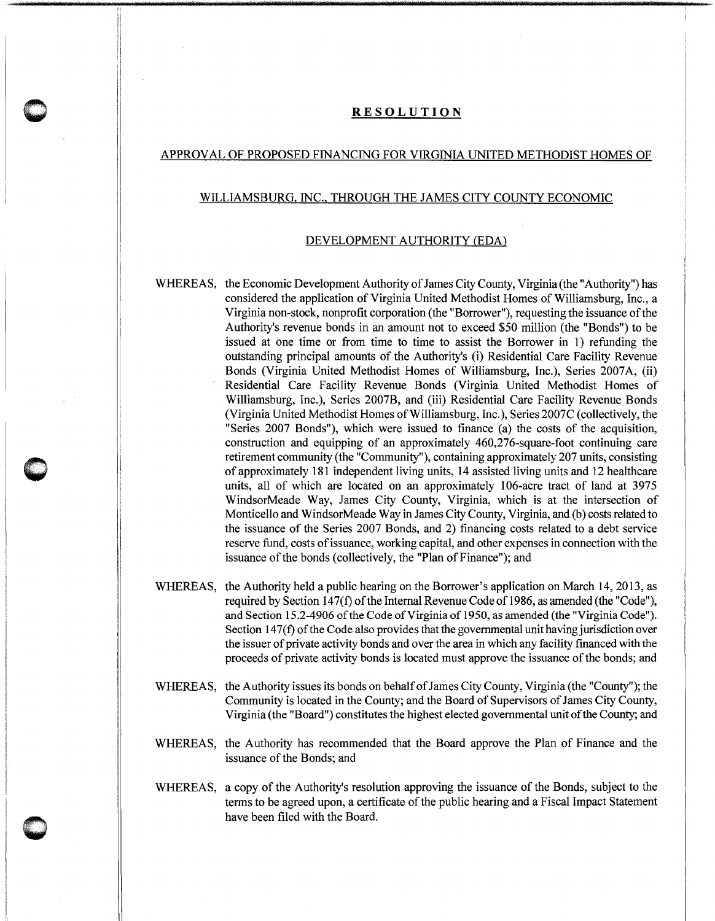## **RESOLUTION**

## APPROVAL OF PROPOSED FINANCING FOR VIRGINIA UNITED METHODIST HOMES OF

## WILLIAMSBURG, INC., THROUGH THE JAMES CITY COUNTY ECONOMIC

## DEVELOPMENT AUTHORITY (EDA)

WHEREAS, the Economic Development Authority of James City County, Virginia (the "Authority") has considered the application of Virginia United Methodist Homes of Williamsburg, Inc., a Virginia non-stock, nonprofit corporation (the "Borrower"), requesting the issuance of the Authority's revenue bonds in an amount not to exceed \$50 million (the "Bonds") to be issued at one time or from time to time to assist the Borrower in 1) refunding the outstanding principal amounts of the Authority's (i) Residential Care Facility Revenue Bonds (Virginia United Methodist Homes of Williamsburg, Inc.), Series 2007A, (ii) Residential Care Facility Revenue Bonds (Virginia United Methodist Homes of Williamsburg, Inc.), Series 2007B, and (iii) Residential Care Facility Revenue Bonds (Virginia United Methodist Homes of Williamsburg, Inc.), Series 2007C (collectively, the "Series 2007 Bonds"), which were issued to finance (a) the costs of the acquisition, construction and equipping of an approximately 460,276-square-foot continuing care retirement community (the "Community"), containing approximately 207 units, consisting of approximately 181 independent living units, 14 assisted living units and 12 healthcare units, all of which are located on an approximately 106-acre tract of land at 3975 WindsorMeade Way, James City County, Virginia, which is at the intersection of Monticello and WindsorMeade Way in James City County, Virginia, and (b) costs related to the issuance of the Series 2007 Bonds, and 2) financing costs related to a debt service reserve fund, costs of issuance, working capital, and other expenses in connection with the issuance of the bonds (collectively, the "Plan of Finance"); and

- WHEREAS, the Authority held a public hearing on the Borrower's application on March 14, 2013, as required by Section 147(f) of the Internal Revenue Code of 1986, as amended (the "Code"), and Section 15.2-4906 of the Code of Virginia of 1950, as amended (the "Virginia Code"). Section  $147(f)$  of the Code also provides that the governmental unit having jurisdiction over the issuer of private activity bonds and over the area in which any facility financed with the proceeds of private activity bonds is located must approve the issuance of the bonds; and
- WHEREAS, the Authority issues its bonds on behalf of James City County, Virginia (the "County"); the Community is located in the County; and the Board of Supervisors of James City County, Virginia (the "Board") constitutes the highest elected governmental unit of the County; and
- WHEREAS, the Authority has recommended that the Board approve the Plan of Finance and the issuance of the Bonds; and
- WHEREAS, a copy of the Authority's resolution approving the issuance of the Bonds, subject to the terms to be agreed upon, a certificate of the public hearing and a Fiscal Impact Statement have been filed with the Board.